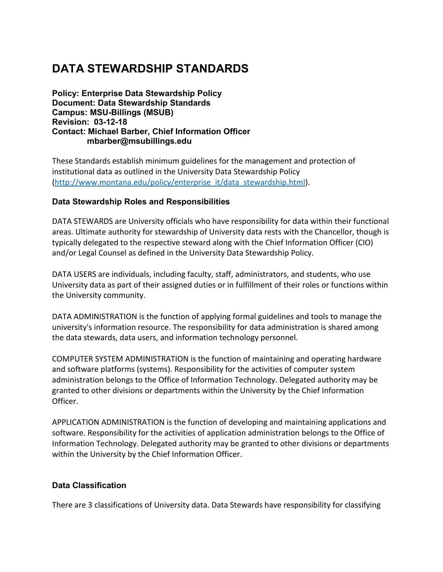# **DATA STEWARDSHIP STANDARDS**

**Policy: Enterprise Data Stewardship Policy Document: Data Stewardship Standards Campus: MSU-Billings (MSUB) Revision: 03-12-18 Contact: Michael Barber, Chief Information Officer [mbarber@msubillings.edu](mailto:mbarber@msubillings.edu)**

These Standards establish minimum guidelines for the management and protection of institutional data as outlined in the University Data Stewardship Policy [\(http://www.montana.edu/policy/enterprise\\_it/data\\_stewardship.html\).](http://www.montana.edu/policy/enterprise_it/data_stewardship.html))

#### **Data Stewardship Roles and Responsibilities**

DATA STEWARDS are University officials who have responsibility for data within their functional areas. Ultimate authority for stewardship of University data rests with the Chancellor, though is typically delegated to the respective steward along with the Chief Information Officer (CIO) and/or Legal Counsel as defined in the University Data Stewardship Policy.

DATA USERS are individuals, including faculty, staff, administrators, and students, who use University data as part of their assigned duties or in fulfillment of their roles or functions within the University community.

DATA ADMINISTRATION is the function of applying formal guidelines and tools to manage the university's information resource. The responsibility for data administration is shared among the data stewards, data users, and information technology personnel.

COMPUTER SYSTEM ADMINISTRATION is the function of maintaining and operating hardware and software platforms (systems). Responsibility for the activities of computer system administration belongs to the Office of Information Technology. Delegated authority may be granted to other divisions or departments within the University by the Chief Information Officer.

APPLICATION ADMINISTRATION is the function of developing and maintaining applications and software. Responsibility for the activities of application administration belongs to the Office of Information Technology. Delegated authority may be granted to other divisions or departments within the University by the Chief Information Officer.

## **Data Classification**

There are 3 classifications of University data. Data Stewards have responsibility for classifying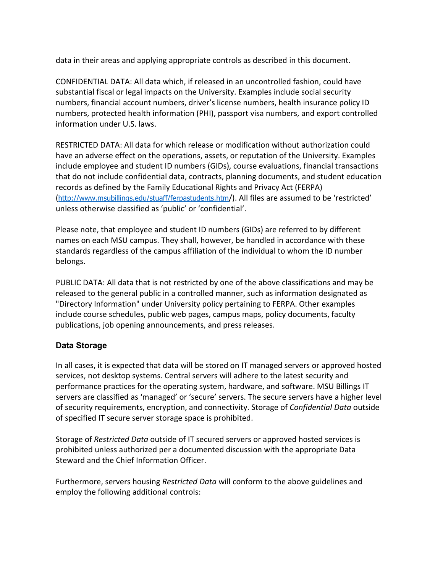data in their areas and applying appropriate controls as described in this document.

CONFIDENTIAL DATA: All data which, if released in an uncontrolled fashion, could have substantial fiscal or legal impacts on the University. Examples include social security numbers, financial account numbers, driver's license numbers, health insurance policy ID numbers, protected health information (PHI), passport visa numbers, and export controlled information under U.S. laws.

RESTRICTED DATA: All data for which release or modification without authorization could have an adverse effect on the operations, assets, or reputation of the University. Examples include employee and student ID numbers (GIDs), course evaluations, financial transactions that do not include confidential data, contracts, planning documents, and student education records as defined by the Family Educational Rights and Privacy Act (FERPA) ([http://www.msubillings.edu/stuaff/ferpastudents.htm](http://www.msubillings.edu/stuaff/ferpastudents.htm/))/). All files are assumed to be 'restricted' unless otherwise classified as 'public' or 'confidential'.

Please note, that employee and student ID numbers (GIDs) are referred to by different names on each MSU campus. They shall, however, be handled in accordance with these standards regardless of the campus affiliation of the individual to whom the ID number belongs.

PUBLIC DATA: All data that is not restricted by one of the above classifications and may be released to the general public in a controlled manner, such as information designated as "Directory Information" under University policy pertaining to FERPA. Other examples include course schedules, public web pages, campus maps, policy documents, faculty publications, job opening announcements, and press releases.

## **Data Storage**

In all cases, it is expected that data will be stored on IT managed servers or approved hosted services, not desktop systems. Central servers will adhere to the latest security and performance practices for the operating system, hardware, and software. MSU Billings IT servers are classified as 'managed' or 'secure' servers. The secure servers have a higher level of security requirements, encryption, and connectivity. Storage of *Confidential Data* outside of specified IT secure server storage space is prohibited.

Storage of *Restricted Data* outside of IT secured servers or approved hosted services is prohibited unless authorized per a documented discussion with the appropriate Data Steward and the Chief Information Officer.

Furthermore, servers housing *Restricted Data* will conform to the above guidelines and employ the following additional controls: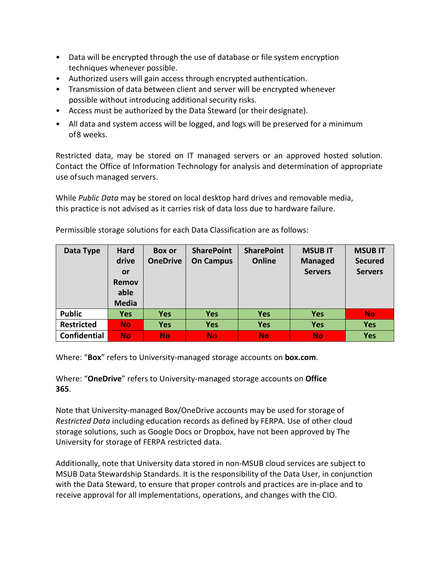- Data will be encrypted through the use of database or file system encryption techniques whenever possible.
- Authorized users will gain access through encrypted authentication.
- Transmission of data between client and server will be encrypted whenever possible without introducing additional security risks.
- Access must be authorized by the Data Steward (or their designate).
- All data and system access will be logged, and logs will be preserved for a minimum of8 weeks.

Restricted data, may be stored on IT managed servers or an approved hosted solution. Contact the Office of Information Technology for analysis and determination of appropriate use ofsuch managed servers.

While *Public Data* may be stored on local desktop hard drives and removable media, this practice is not advised as it carries risk of data loss due to hardware failure.

| Data Type           | Hard         | <b>Box or</b>   | <b>SharePoint</b> | <b>SharePoint</b> | <b>MSUBIT</b>  | <b>MSUB IT</b> |
|---------------------|--------------|-----------------|-------------------|-------------------|----------------|----------------|
|                     | drive        | <b>OneDrive</b> | <b>On Campus</b>  | Online            | <b>Managed</b> | <b>Secured</b> |
|                     | <b>or</b>    |                 |                   |                   | <b>Servers</b> | <b>Servers</b> |
|                     | Remov        |                 |                   |                   |                |                |
|                     | able         |                 |                   |                   |                |                |
|                     | <b>Media</b> |                 |                   |                   |                |                |
| <b>Public</b>       | <b>Yes</b>   | <b>Yes</b>      | <b>Yes</b>        | <b>Yes</b>        | <b>Yes</b>     | <b>No</b>      |
| <b>Restricted</b>   | <b>No</b>    | <b>Yes</b>      | <b>Yes</b>        | <b>Yes</b>        | <b>Yes</b>     | <b>Yes</b>     |
| <b>Confidential</b> | <b>No</b>    | <b>No</b>       | <b>No</b>         | <b>No</b>         | <b>No</b>      | <b>Yes</b>     |

Permissible storage solutions for each Data Classification are as follows:

Where: "**Box**" refers to University-managed storage accounts on **box.com**.

Where: "**OneDrive**" refers to University-managed storage accounts on **Office 365**.

Note that University-managed Box/OneDrive accounts may be used for storage of *Restricted Data* including education records as defined by FERPA. Use of other cloud storage solutions, such as Google Docs or Dropbox, have not been approved by The University for storage of FERPA restricted data.

Additionally, note that University data stored in non-MSUB cloud services are subject to MSUB Data Stewardship Standards. It is the responsibility of the Data User, in conjunction with the Data Steward, to ensure that proper controls and practices are in-place and to receive approval for all implementations, operations, and changes with the CIO.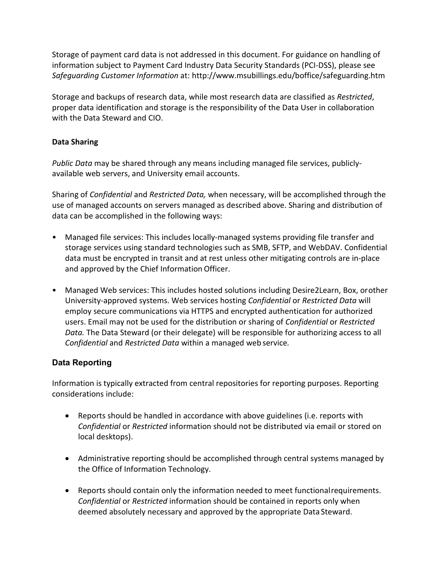Storage of payment card data is not addressed in this document. For guidance on handling of information subject to Payment Card Industry Data Security Standards (PCI-DSS), please see *Safeguarding Customer Information* at:<http://www.msubillings.edu/boffice/safeguarding.htm>

Storage and backups of research data, while most research data are classified as *Restricted*, proper data identification and storage is the responsibility of the Data User in collaboration with the Data Steward and CIO.

# **Data Sharing**

*Public Data* may be shared through any means including managed file services, publiclyavailable web servers, and University email accounts.

Sharing of *Confidential* and *Restricted Data,* when necessary, will be accomplished through the use of managed accounts on servers managed as described above. Sharing and distribution of data can be accomplished in the following ways:

- Managed file services: This includes locally-managed systems providing file transfer and storage services using standard technologies such as SMB, SFTP, and WebDAV. Confidential data must be encrypted in transit and at rest unless other mitigating controls are in-place and approved by the Chief Information Officer.
- Managed Web services: This includes hosted solutions including Desire2Learn, Box, orother University-approved systems. Web services hosting *Confidential* or *Restricted Data* will employ secure communications via HTTPS and encrypted authentication for authorized users. Email may not be used for the distribution or sharing of *Confidential* or *Restricted Data.* The Data Steward (or their delegate) will be responsible for authorizing access to all *Confidential* and *Restricted Data* within a managed web service*.*

# **Data Reporting**

Information is typically extracted from central repositories for reporting purposes. Reporting considerations include:

- Reports should be handled in accordance with above guidelines (i.e. reports with *Confidential* or *Restricted* information should not be distributed via email or stored on local desktops).
- Administrative reporting should be accomplished through central systems managed by the Office of Information Technology.
- Reports should contain only the information needed to meet functionalrequirements. *Confidential* or *Restricted* information should be contained in reports only when deemed absolutely necessary and approved by the appropriate Data Steward.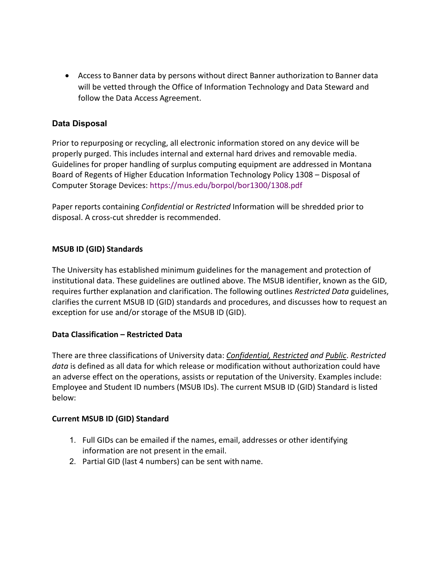• Access to Banner data by persons without direct Banner authorization to Banner data will be vetted through the Office of Information Technology and Data Steward and follow the Data Access Agreement.

# **Data Disposal**

Prior to repurposing or recycling, all electronic information stored on any device will be properly purged. This includes internal and external hard drives and removable media. Guidelines for proper handling of surplus computing equipment are addressed in Montana Board of Regents of Higher Education Information Technology Policy 1308 – Disposal of Computer Storage Devices: https://mus.edu/borpol/bor1300/1308.pdf

Paper reports containing *Confidential* or *Restricted* Information will be shredded prior to disposal. A cross-cut shredder is recommended.

# **MSUB ID (GID) Standards**

The University has established minimum guidelines for the management and protection of institutional data. These guidelines are outlined above. The MSUB identifier, known as the GID, requires further explanation and clarification. The following outlines *Restricted Data* guidelines, clarifies the current MSUB ID (GID) standards and procedures, and discusses how to request an exception for use and/or storage of the MSUB ID (GID).

## **Data Classification – Restricted Data**

There are three classifications of University data: *Confidential, Restricted and Public*. *Restricted data* is defined as all data for which release or modification without authorization could have an adverse effect on the operations, assists or reputation of the University. Examples include: Employee and Student ID numbers (MSUB IDs). The current MSUB ID (GID) Standard is listed below:

## **Current MSUB ID (GID) Standard**

- 1. Full GIDs can be emailed if the names, email, addresses or other identifying information are not present in the email.
- 2. Partial GID (last 4 numbers) can be sent with name.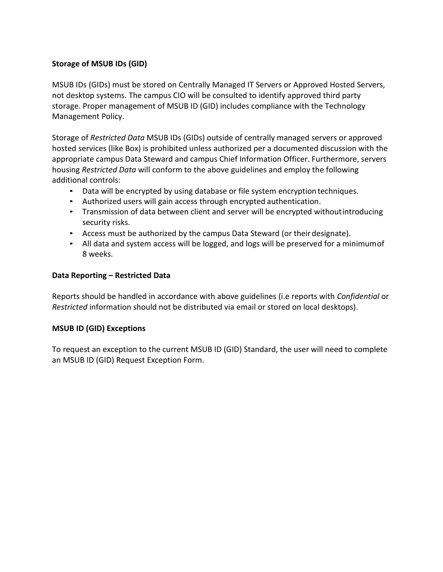# **Storage of MSUB IDs (GID)**

MSUB IDs (GIDs) must be stored on Centrally Managed IT Servers or Approved Hosted Servers, not desktop systems. The campus CIO will be consulted to identify approved third party storage. Proper management of MSUB ID (GID) includes compliance with the Technology Management Policy.

Storage of *Restricted Data* MSUB IDs (GIDs) outside of centrally managed servers or approved hosted services (like Box) is prohibited unless authorized per a documented discussion with the appropriate campus Data Steward and campus Chief Information Officer. Furthermore, servers housing *Restricted Data* will conform to the above guidelines and employ the following additional controls:

- Data will be encrypted by using database or file system encryption techniques.
- Authorized users will gain access through encrypted authentication.
- Transmission of data between client and server will be encrypted withoutintroducing security risks.
- Access must be authorized by the campus Data Steward (or theirdesignate).
- All data and system access will be logged, and logs will be preserved for a minimumof 8 weeks.

#### **Data Reporting – Restricted Data**

Reports should be handled in accordance with above guidelines (i.e reports with *Confidential* or *Restricted* information should not be distributed via email or stored on local desktops).

## **MSUB ID (GID) Exceptions**

To request an exception to the current MSUB ID (GID) Standard, the user will need to complete an MSUB ID (GID) Request Exception Form.